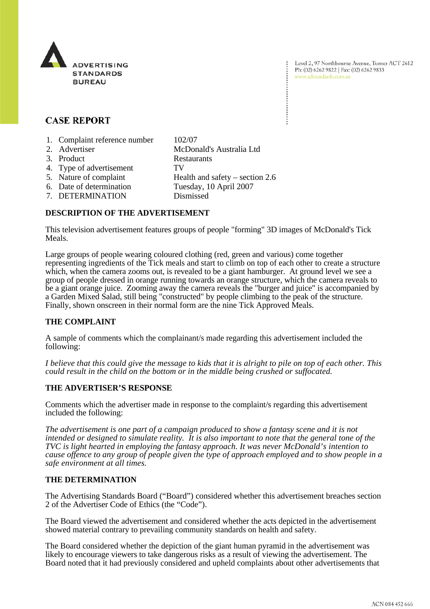

Level 2, 97 Northbourne Avenue, Turner ACT 2612 Ph: (02) 6262 9822 | Fax: (02) 6262 9833 www.adstandards.com.au

# **CASE REPORT**

- 1. Complaint reference number 102/07
- 2. Advertiser McDonald's Australia Ltd 3. Product Restaurants 4. Type of advertisement TV 5. Nature of complaint Health and safety – section 2.6 6. Date of determination Tuesday, 10 April 2007 7. DETERMINATION Dismissed

### **DESCRIPTION OF THE ADVERTISEMENT**

This television advertisement features groups of people "forming" 3D images of McDonald's Tick Meals.

Large groups of people wearing coloured clothing (red, green and various) come together representing ingredients of the Tick meals and start to climb on top of each other to create a structure which, when the camera zooms out, is revealed to be a giant hamburger. At ground level we see a group of people dressed in orange running towards an orange structure, which the camera reveals to be a giant orange juice. Zooming away the camera reveals the "burger and juice" is accompanied by a Garden Mixed Salad, still being "constructed" by people climbing to the peak of the structure. Finally, shown onscreen in their normal form are the nine Tick Approved Meals.

#### **THE COMPLAINT**

A sample of comments which the complainant/s made regarding this advertisement included the following:

*I believe that this could give the message to kids that it is alright to pile on top of each other. This could result in the child on the bottom or in the middle being crushed or suffocated.*

#### **THE ADVERTISER'S RESPONSE**

Comments which the advertiser made in response to the complaint/s regarding this advertisement included the following:

*The advertisement is one part of a campaign produced to show a fantasy scene and it is not intended or designed to simulate reality. It is also important to note that the general tone of the TVC is light hearted in employing the fantasy approach. It was never McDonald's intention to cause offence to any group of people given the type of approach employed and to show people in a safe environment at all times.*

## **THE DETERMINATION**

The Advertising Standards Board ("Board") considered whether this advertisement breaches section 2 of the Advertiser Code of Ethics (the "Code").

The Board viewed the advertisement and considered whether the acts depicted in the advertisement showed material contrary to prevailing community standards on health and safety.

The Board considered whether the depiction of the giant human pyramid in the advertisement was likely to encourage viewers to take dangerous risks as a result of viewing the advertisement. The Board noted that it had previously considered and upheld complaints about other advertisements that